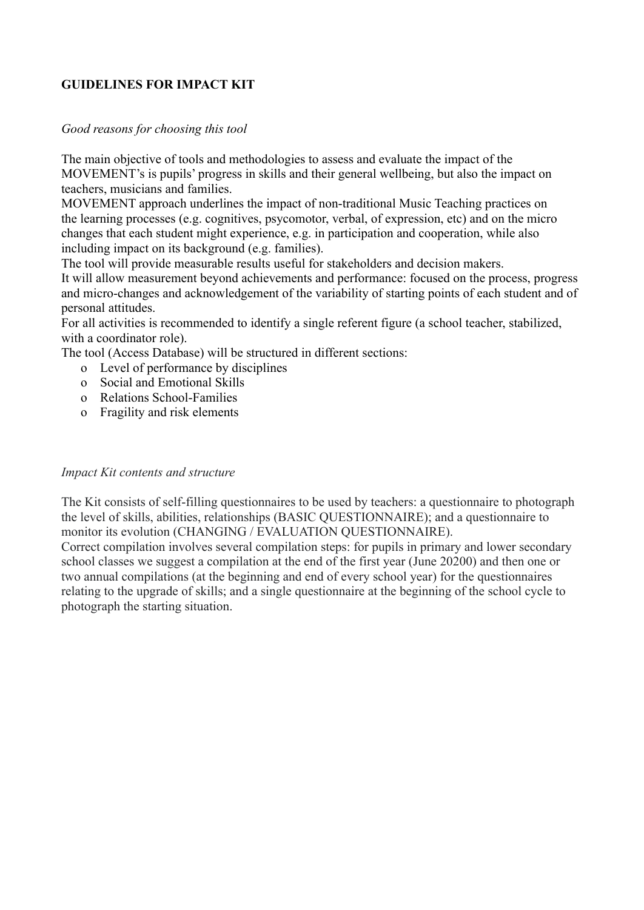## **GUIDELINES FOR IMPACT KIT**

### *Good reasons for choosing this tool*

The main objective of tools and methodologies to assess and evaluate the impact of the MOVEMENT's is pupils' progress in skills and their general wellbeing, but also the impact on teachers, musicians and families.

MOVEMENT approach underlines the impact of non-traditional Music Teaching practices on the learning processes (e.g. cognitives, psycomotor, verbal, of expression, etc) and on the micro changes that each student might experience, e.g. in participation and cooperation, while also including impact on its background (e.g. families).

The tool will provide measurable results useful for stakeholders and decision makers.

It will allow measurement beyond achievements and performance: focused on the process, progress and micro-changes and acknowledgement of the variability of starting points of each student and of personal attitudes.

For all activities is recommended to identify a single referent figure (a school teacher, stabilized, with a coordinator role).

The tool (Access Database) will be structured in different sections:

- o Level of performance by disciplines
- o Social and Emotional Skills
- o Relations School-Families
- o Fragility and risk elements

#### *Impact Kit contents and structure*

The Kit consists of self-filling questionnaires to be used by teachers: a questionnaire to photograph the level of skills, abilities, relationships (BASIC QUESTIONNAIRE); and a questionnaire to monitor its evolution (CHANGING / EVALUATION QUESTIONNAIRE).

Correct compilation involves several compilation steps: for pupils in primary and lower secondary school classes we suggest a compilation at the end of the first year (June 20200) and then one or two annual compilations (at the beginning and end of every school year) for the questionnaires relating to the upgrade of skills; and a single questionnaire at the beginning of the school cycle to photograph the starting situation.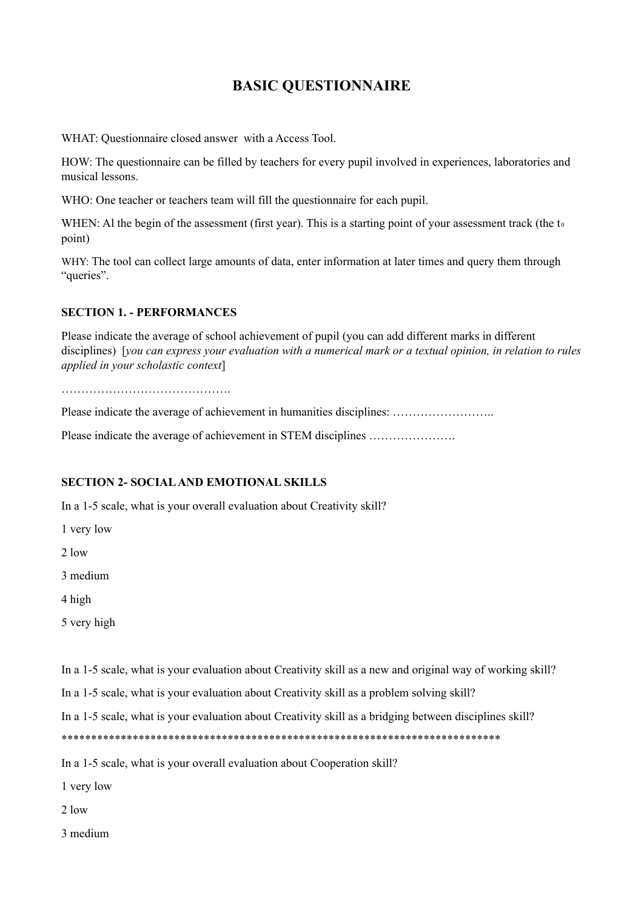# **BASIC QUESTIONNAIRE**

WHAT: Questionnaire closed answer with a Access Tool.

HOW: The questionnaire can be filled by teachers for every pupil involved in experiences, laboratories and musical lessons.

WHO: One teacher or teachers team will fill the questionnaire for each pupil.

WHEN: Al the begin of the assessment (first year). This is a starting point of your assessment track (the  $t_0$ point)

WHY: The tool can collect large amounts of data, enter information at later times and query them through "queries".

#### **SECTION 1. - PERFORMANCES**

Please indicate the average of school achievement of pupil (you can add different marks in different disciplines) [you can express your evaluation with a numerical mark or a textual opinion, in relation to rules *applied in your scholastic context*]

…………………………………….

Please indicate the average of achievement in humanities disciplines: ……………………..

Please indicate the average of achievement in STEM disciplines ………………….

#### **SECTION 2- SOCIALAND EMOTIONAL SKILLS**

In a 1-5 scale, what is your overall evaluation about Creativity skill?

1 very low

2 low

3 medium

4 high

5 very high

In a 1-5 scale, what is your evaluation about Creativity skill as a new and original way of working skill?

In a 1-5 scale, what is your evaluation about Creativity skill as a problem solving skill?

In a 1-5 scale, what is your evaluation about Creativity skill as a bridging between disciplines skill?

\*\*\*\*\*\*\*\*\*\*\*\*\*\*\*\*\*\*\*\*\*\*\*\*\*\*\*\*\*\*\*\*\*\*\*\*\*\*\*\*\*\*\*\*\*\*\*\*\*\*\*\*\*\*\*\*\*\*\*\*\*\*\*\*\*\*\*\*\*\*\*\*\*\*

In a 1-5 scale, what is your overall evaluation about Cooperation skill?

1 very low

2 low

3 medium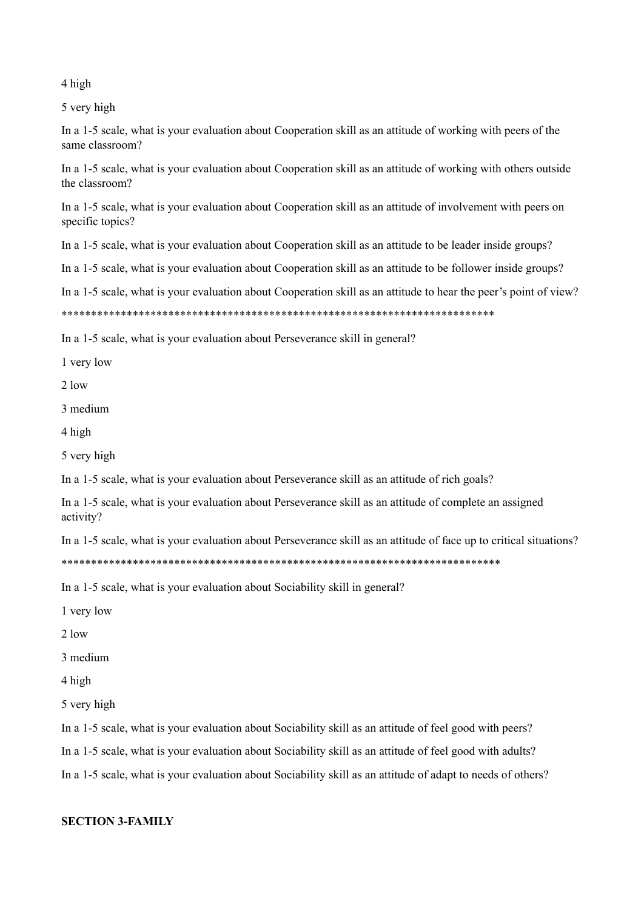4 high

5 very high

In a 1-5 scale, what is your evaluation about Cooperation skill as an attitude of working with peers of the same classroom?

In a 1-5 scale, what is your evaluation about Cooperation skill as an attitude of working with others outside the classroom?

In a 1-5 scale, what is your evaluation about Cooperation skill as an attitude of involvement with peers on specific topics?

In a 1-5 scale, what is your evaluation about Cooperation skill as an attitude to be leader inside groups?

In a 1-5 scale, what is your evaluation about Cooperation skill as an attitude to be follower inside groups?

In a 1-5 scale, what is your evaluation about Cooperation skill as an attitude to hear the peer's point of view?

In a 1-5 scale, what is your evaluation about Perseverance skill in general?

1 very low

 $2$ low

3 medium

4 high

5 very high

In a 1-5 scale, what is your evaluation about Perseverance skill as an attitude of rich goals?

In a 1-5 scale, what is your evaluation about Perseverance skill as an attitude of complete an assigned activity?

In a 1-5 scale, what is your evaluation about Perseverance skill as an attitude of face up to critical situations?

In a 1-5 scale, what is your evaluation about Sociability skill in general?

1 very low

 $2 \text{ low}$ 

3 medium

4 high

5 very high

In a 1-5 scale, what is your evaluation about Sociability skill as an attitude of feel good with peers?

In a 1-5 scale, what is your evaluation about Sociability skill as an attitude of feel good with adults?

In a 1-5 scale, what is your evaluation about Sociability skill as an attitude of adapt to needs of others?

#### **SECTION 3-FAMILY**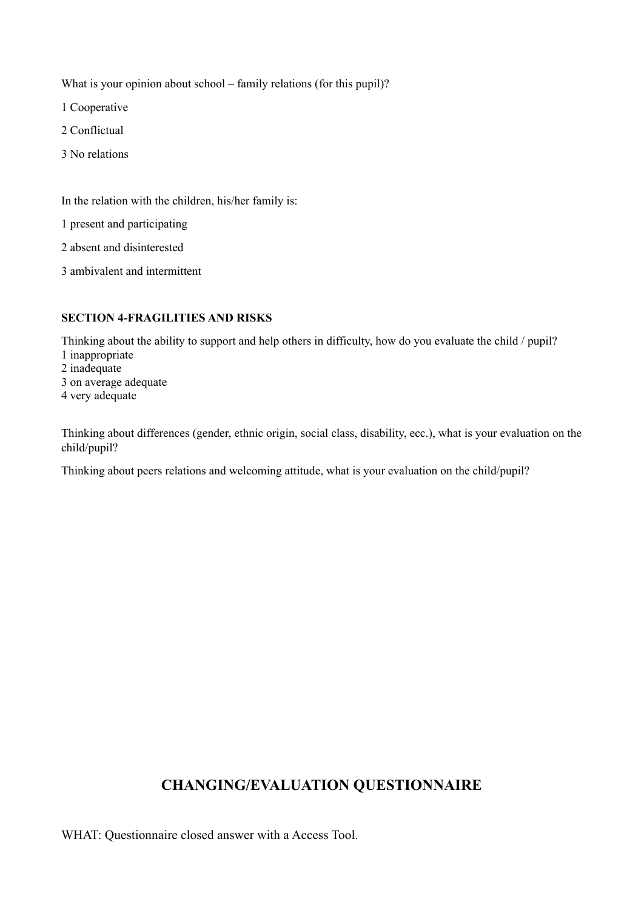What is your opinion about school – family relations (for this pupil)?

1 Cooperative

- 2 Conflictual
- 3 No relations

In the relation with the children, his/her family is:

1 present and participating

2 absent and disinterested

3 ambivalent and intermittent

#### **SECTION 4-FRAGILITIES AND RISKS**

Thinking about the ability to support and help others in difficulty, how do you evaluate the child / pupil? inappropriate inadequate on average adequate very adequate

Thinking about differences (gender, ethnic origin, social class, disability, ecc.), what is your evaluation on the child/pupil?

Thinking about peers relations and welcoming attitude, what is your evaluation on the child/pupil?

## **CHANGING/EVALUATION QUESTIONNAIRE**

WHAT: Questionnaire closed answer with a Access Tool.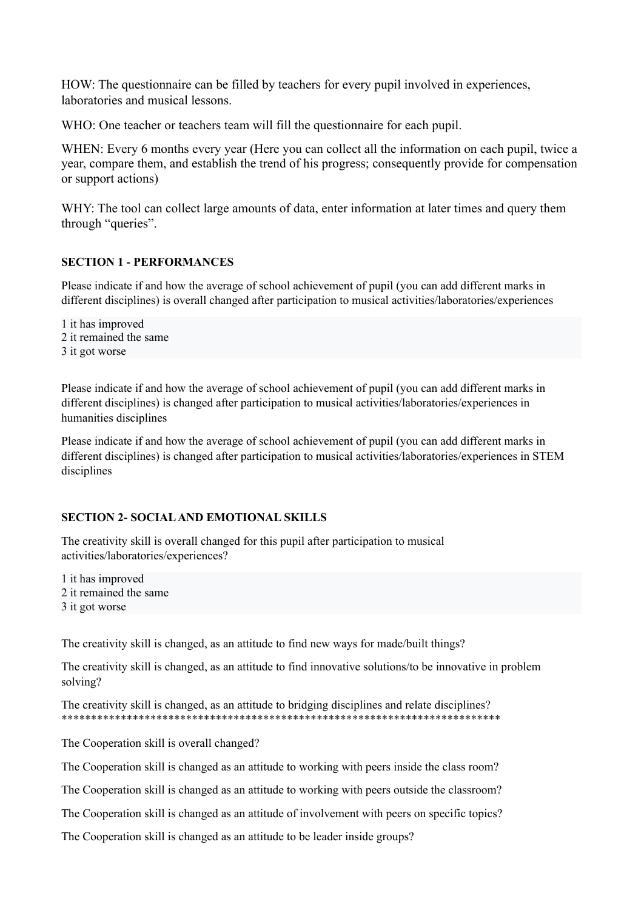HOW: The questionnaire can be filled by teachers for every pupil involved in experiences, laboratories and musical lessons.

WHO: One teacher or teachers team will fill the questionnaire for each pupil.

WHEN: Every 6 months every year (Here you can collect all the information on each pupil, twice a year, compare them, and establish the trend of his progress; consequently provide for compensation or support actions)

WHY: The tool can collect large amounts of data, enter information at later times and query them through "queries".

### **SECTION 1 - PERFORMANCES**

Please indicate if and how the average of school achievement of pupil (you can add different marks in different disciplines) is overall changed after participation to musical activities/laboratories/experiences

1 it has improved 2 it remained the same 3 it got worse

Please indicate if and how the average of school achievement of pupil (you can add different marks in different disciplines) is changed after participation to musical activities/laboratories/experiences in humanities disciplines

Please indicate if and how the average of school achievement of pupil (you can add different marks in different disciplines) is changed after participation to musical activities/laboratories/experiences in STEM disciplines

#### **SECTION 2- SOCIALAND EMOTIONAL SKILLS**

The creativity skill is overall changed for this pupil after participation to musical activities/laboratories/experiences?

1 it has improved 2 it remained the same 3 it got worse

The creativity skill is changed, as an attitude to find new ways for made/built things?

The creativity skill is changed, as an attitude to find innovative solutions/to be innovative in problem solving?

The creativity skill is changed, as an attitude to bridging disciplines and relate disciplines? \*\*\*\*\*\*\*\*\*\*\*\*\*\*\*\*\*\*\*\*\*\*\*\*\*\*\*\*\*\*\*\*\*\*\*\*\*\*\*\*\*\*\*\*\*\*\*\*\*\*\*\*\*\*\*\*\*\*\*\*\*\*\*\*\*\*\*\*\*\*\*\*\*\*

The Cooperation skill is overall changed?

The Cooperation skill is changed as an attitude to working with peers inside the class room?

The Cooperation skill is changed as an attitude to working with peers outside the classroom?

The Cooperation skill is changed as an attitude of involvement with peers on specific topics?

The Cooperation skill is changed as an attitude to be leader inside groups?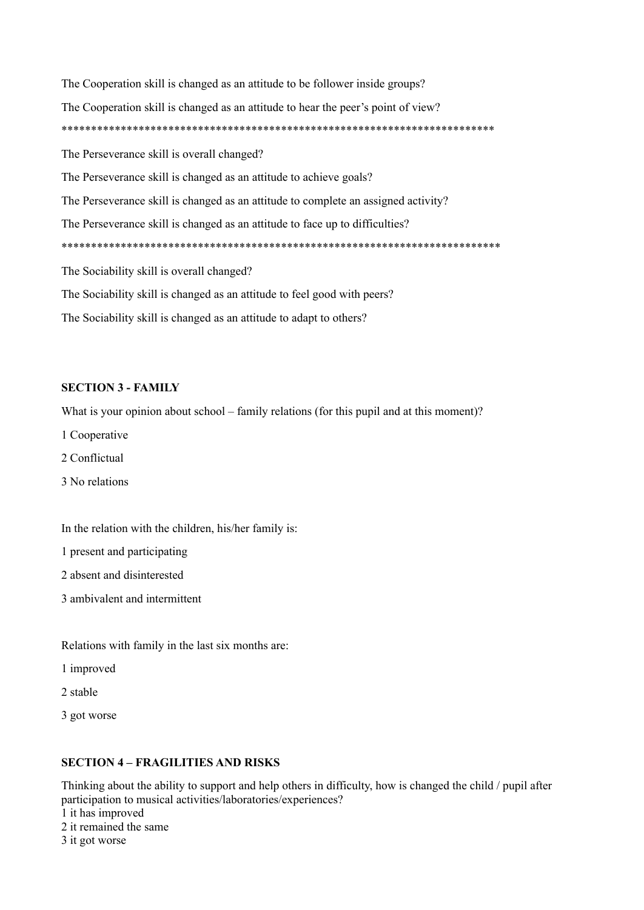The Cooperation skill is changed as an attitude to be follower inside groups? The Cooperation skill is changed as an attitude to hear the peer's point of view? The Perseverance skill is overall changed? The Perseverance skill is changed as an attitude to achieve goals? The Perseverance skill is changed as an attitude to complete an assigned activity? The Perseverance skill is changed as an attitude to face up to difficulties? The Sociability skill is overall changed? The Sociability skill is changed as an attitude to feel good with peers? The Sociability skill is changed as an attitude to adapt to others?

#### **SECTION 3 - FAMILY**

What is your opinion about school – family relations (for this pupil and at this moment)?

- 1 Cooperative
- 2 Conflictual
- 3 No relations

In the relation with the children, his/her family is:

1 present and participating

- 2 absent and disinterested
- 3 ambivalent and intermittent

Relations with family in the last six months are:

1 improved

2 stable

3 got worse

#### **SECTION 4 - FRAGILITIES AND RISKS**

Thinking about the ability to support and help others in difficulty, how is changed the child / pupil after participation to musical activities/laboratories/experiences? 1 it has improved 2 it remained the same 3 it got worse